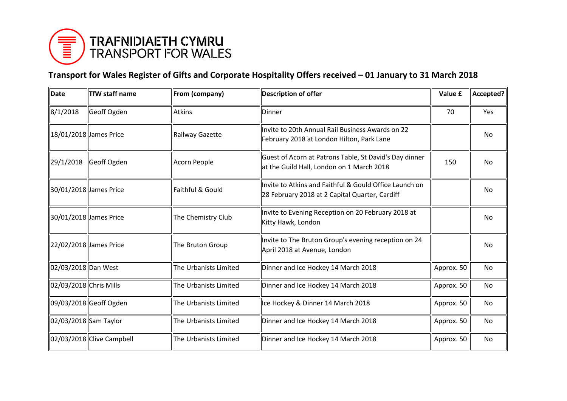

## **Transport for Wales Register of Gifts and Corporate Hospitality Offers received – 01 January to 31 March 2018**

| Date                    | <b>TfW staff name</b>     | From (company)        | <b>Description of offer</b>                                                                              | Value £    | Accepted? |
|-------------------------|---------------------------|-----------------------|----------------------------------------------------------------------------------------------------------|------------|-----------|
| 8/1/2018                | Geoff Ogden               | <b>Atkins</b>         | <b>IDinner</b>                                                                                           | 70         | Yes       |
| 18/01/2018  James Price |                           | Railway Gazette       | Invite to 20th Annual Rail Business Awards on 22<br>February 2018 at London Hilton, Park Lane            |            | No        |
| 29/1/2018               | Geoff Ogden               | Acorn People          | Guest of Acorn at Patrons Table, St David's Day dinner<br>at the Guild Hall, London on 1 March 2018      | 150        | No        |
| 30/01/2018  James Price |                           | Faithful & Gould      | Invite to Atkins and Faithful & Gould Office Launch on<br>28 February 2018 at 2 Capital Quarter, Cardiff |            | No        |
| 30/01/2018 James Price  |                           | The Chemistry Club    | Invite to Evening Reception on 20 February 2018 at<br>Kitty Hawk, London                                 |            | No        |
| 22/02/2018 James Price  |                           | The Bruton Group      | Invite to The Bruton Group's evening reception on 24<br>April 2018 at Avenue, London                     |            | No        |
| 02/03/2018 Dan West     |                           | The Urbanists Limited | Dinner and Ice Hockey 14 March 2018                                                                      | Approx. 50 | No        |
| 02/03/2018 Chris Mills  |                           | The Urbanists Limited | Dinner and Ice Hockey 14 March 2018                                                                      | Approx. 50 | No        |
|                         | 09/03/2018 Geoff Ogden    | The Urbanists Limited | Ice Hockey & Dinner 14 March 2018                                                                        | Approx. 50 | <b>No</b> |
| 02/03/2018 Sam Taylor   |                           | The Urbanists Limited | Dinner and Ice Hockey 14 March 2018                                                                      | Approx. 50 | No        |
|                         | 02/03/2018 Clive Campbell | The Urbanists Limited | Dinner and Ice Hockey 14 March 2018                                                                      | Approx. 50 | No        |